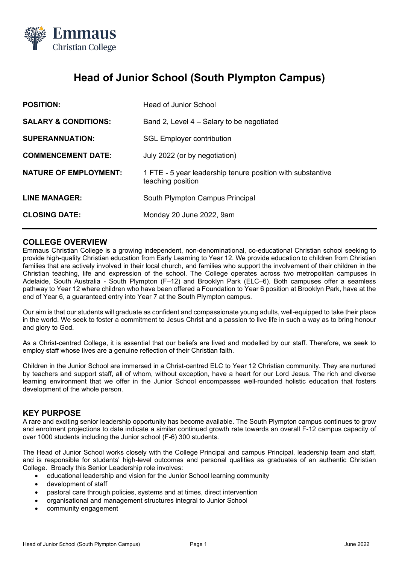

# **Head of Junior School (South Plympton Campus)**

| <b>POSITION:</b>                | <b>Head of Junior School</b>                                                    |
|---------------------------------|---------------------------------------------------------------------------------|
| <b>SALARY &amp; CONDITIONS:</b> | Band 2, Level 4 – Salary to be negotiated                                       |
| <b>SUPERANNUATION:</b>          | <b>SGL Employer contribution</b>                                                |
| <b>COMMENCEMENT DATE:</b>       | July 2022 (or by negotiation)                                                   |
| <b>NATURE OF EMPLOYMENT:</b>    | 1 FTE - 5 year leadership tenure position with substantive<br>teaching position |
| <b>LINE MANAGER:</b>            | South Plympton Campus Principal                                                 |
| <b>CLOSING DATE:</b>            | Monday 20 June 2022, 9am                                                        |

# **COLLEGE OVERVIEW**

Emmaus Christian College is a growing independent, non-denominational, co-educational Christian school seeking to provide high-quality Christian education from Early Learning to Year 12. We provide education to children from Christian families that are actively involved in their local church, and families who support the involvement of their children in the Christian teaching, life and expression of the school. The College operates across two metropolitan campuses in Adelaide, South Australia - South Plympton (F–12) and Brooklyn Park (ELC–6). Both campuses offer a seamless pathway to Year 12 where children who have been offered a Foundation to Year 6 position at Brooklyn Park, have at the end of Year 6, a guaranteed entry into Year 7 at the South Plympton campus.

Our aim is that our students will graduate as confident and compassionate young adults, well-equipped to take their place in the world. We seek to foster a commitment to Jesus Christ and a passion to live life in such a way as to bring honour and glory to God.

As a Christ-centred College, it is essential that our beliefs are lived and modelled by our staff. Therefore, we seek to employ staff whose lives are a genuine reflection of their Christian faith.

Children in the Junior School are immersed in a Christ-centred ELC to Year 12 Christian community. They are nurtured by teachers and support staff, all of whom, without exception, have a heart for our Lord Jesus. The rich and diverse learning environment that we offer in the Junior School encompasses well-rounded holistic education that fosters development of the whole person.

## **KEY PURPOSE**

A rare and exciting senior leadership opportunity has become available. The South Plympton campus continues to grow and enrolment projections to date indicate a similar continued growth rate towards an overall F-12 campus capacity of over 1000 students including the Junior school (F-6) 300 students.

The Head of Junior School works closely with the College Principal and campus Principal, leadership team and staff, and is responsible for students' high-level outcomes and personal qualities as graduates of an authentic Christian College. Broadly this Senior Leadership role involves:

- educational leadership and vision for the Junior School learning community
- development of staff
- pastoral care through policies, systems and at times, direct intervention
- organisational and management structures integral to Junior School
- community engagement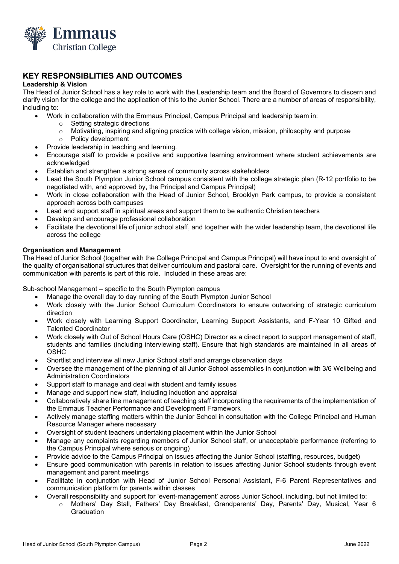

# **KEY RESPONSIBLITIES AND OUTCOMES**

#### **Leadership & Vision**

The Head of Junior School has a key role to work with the Leadership team and the Board of Governors to discern and clarify vision for the college and the application of this to the Junior School. There are a number of areas of responsibility, including to:

- Work in collaboration with the Emmaus Principal, Campus Principal and leadership team in:
	- o Setting strategic directions
	- $\circ$  Motivating, inspiring and aligning practice with college vision, mission, philosophy and purpose  $\circ$  Policy development
	- Policy development
- Provide leadership in teaching and learning.
- Encourage staff to provide a positive and supportive learning environment where student achievements are acknowledged
- Establish and strengthen a strong sense of community across stakeholders
- Lead the South Plympton Junior School campus consistent with the college strategic plan (R-12 portfolio to be negotiated with, and approved by, the Principal and Campus Principal)
- Work in close collaboration with the Head of Junior School, Brooklyn Park campus, to provide a consistent approach across both campuses
- Lead and support staff in spiritual areas and support them to be authentic Christian teachers
- Develop and encourage professional collaboration
- Facilitate the devotional life of junior school staff, and together with the wider leadership team, the devotional life across the college

## **Organisation and Management**

The Head of Junior School (together with the College Principal and Campus Principal) will have input to and oversight of the quality of organisational structures that deliver curriculum and pastoral care. Oversight for the running of events and communication with parents is part of this role. Included in these areas are:

#### Sub-school Management – specific to the South Plympton campus

- Manage the overall day to day running of the South Plympton Junior School
- Work closely with the Junior School Curriculum Coordinators to ensure outworking of strategic curriculum direction
- Work closely with Learning Support Coordinator, Learning Support Assistants, and F-Year 10 Gifted and Talented Coordinator
- Work closely with Out of School Hours Care (OSHC) Director as a direct report to support management of staff. students and families (including interviewing staff). Ensure that high standards are maintained in all areas of OSHC
- Shortlist and interview all new Junior School staff and arrange observation days
- Oversee the management of the planning of all Junior School assemblies in conjunction with 3/6 Wellbeing and Administration Coordinators
- Support staff to manage and deal with student and family issues
- Manage and support new staff, including induction and appraisal
- Collaboratively share line management of teaching staff incorporating the requirements of the implementation of the Emmaus Teacher Performance and Development Framework
- Actively manage staffing matters within the Junior School in consultation with the College Principal and Human Resource Manager where necessary
- Oversight of student teachers undertaking placement within the Junior School
- Manage any complaints regarding members of Junior School staff, or unacceptable performance (referring to the Campus Principal where serious or ongoing)
- Provide advice to the Campus Principal on issues affecting the Junior School (staffing, resources, budget)
- Ensure good communication with parents in relation to issues affecting Junior School students through event management and parent meetings
- Facilitate in conjunction with Head of Junior School Personal Assistant, F-6 Parent Representatives and communication platform for parents within classes
- Overall responsibility and support for 'event-management' across Junior School, including, but not limited to:
	- o Mothers' Day Stall, Fathers' Day Breakfast, Grandparents' Day, Parents' Day, Musical, Year 6 Graduation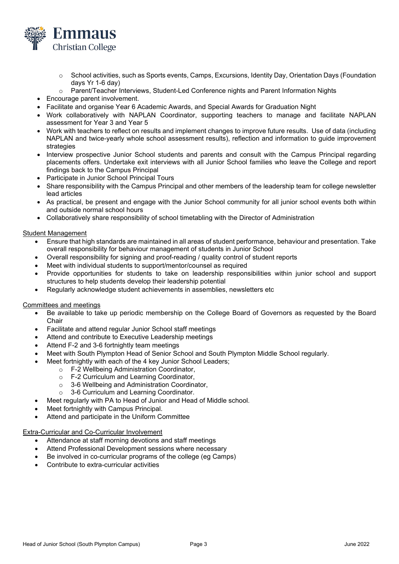

- o School activities, such as Sports events, Camps, Excursions, Identity Day, Orientation Days (Foundation days Yr 1-6 day)
- o Parent/Teacher Interviews, Student-Led Conference nights and Parent Information Nights
- Encourage parent involvement.
- Facilitate and organise Year 6 Academic Awards, and Special Awards for Graduation Night
- Work collaboratively with NAPLAN Coordinator, supporting teachers to manage and facilitate NAPLAN assessment for Year 3 and Year 5
- Work with teachers to reflect on results and implement changes to improve future results. Use of data (including NAPLAN and twice-yearly whole school assessment results), reflection and information to guide improvement strategies
- Interview prospective Junior School students and parents and consult with the Campus Principal regarding placements offers. Undertake exit interviews with all Junior School families who leave the College and report findings back to the Campus Principal
- Participate in Junior School Principal Tours
- Share responsibility with the Campus Principal and other members of the leadership team for college newsletter lead articles
- As practical, be present and engage with the Junior School community for all junior school events both within and outside normal school hours
- Collaboratively share responsibility of school timetabling with the Director of Administration

## Student Management

- Ensure that high standards are maintained in all areas of student performance, behaviour and presentation. Take overall responsibility for behaviour management of students in Junior School
- Overall responsibility for signing and proof-reading / quality control of student reports
- Meet with individual students to support/mentor/counsel as required
- Provide opportunities for students to take on leadership responsibilities within junior school and support structures to help students develop their leadership potential
- Regularly acknowledge student achievements in assemblies, newsletters etc

#### Committees and meetings

- Be available to take up periodic membership on the College Board of Governors as requested by the Board **Chair**
- Facilitate and attend regular Junior School staff meetings
- Attend and contribute to Executive Leadership meetings
- Attend F-2 and 3-6 fortnightly team meetings
- Meet with South Plympton Head of Senior School and South Plympton Middle School regularly.
- Meet fortnightly with each of the 4 key Junior School Leaders;
	- o F-2 Wellbeing Administration Coordinator,
	- o F-2 Curriculum and Learning Coordinator,
	- o 3-6 Wellbeing and Administration Coordinator,
	- o 3-6 Curriculum and Learning Coordinator.
	- Meet regularly with PA to Head of Junior and Head of Middle school.
- Meet fortnightly with Campus Principal.
- Attend and participate in the Uniform Committee

#### Extra-Curricular and Co-Curricular Involvement

- Attendance at staff morning devotions and staff meetings
- Attend Professional Development sessions where necessary
- Be involved in co-curricular programs of the college (eg Camps)
- Contribute to extra-curricular activities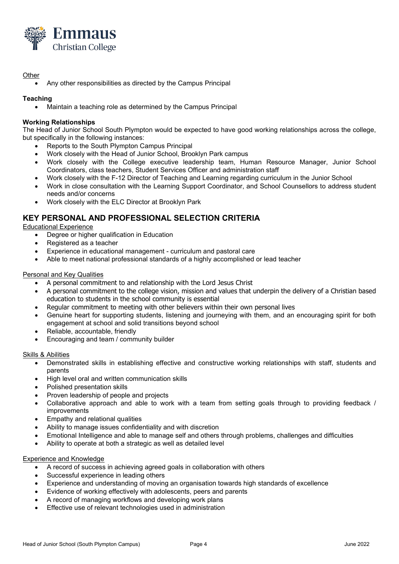

## **Other**

• Any other responsibilities as directed by the Campus Principal

## **Teaching**

• Maintain a teaching role as determined by the Campus Principal

## **Working Relationships**

The Head of Junior School South Plympton would be expected to have good working relationships across the college, but specifically in the following instances:

- Reports to the South Plympton Campus Principal
- Work closely with the Head of Junior School, Brooklyn Park campus
- Work closely with the College executive leadership team, Human Resource Manager, Junior School Coordinators, class teachers, Student Services Officer and administration staff
- Work closely with the F-12 Director of Teaching and Learning regarding curriculum in the Junior School
- Work in close consultation with the Learning Support Coordinator, and School Counsellors to address student needs and/or concerns
- Work closely with the ELC Director at Brooklyn Park

# **KEY PERSONAL AND PROFESSIONAL SELECTION CRITERIA**

#### Educational Experience

- Degree or higher qualification in Education
- Registered as a teacher
- Experience in educational management curriculum and pastoral care
- Able to meet national professional standards of a highly accomplished or lead teacher

#### Personal and Key Qualities

- A personal commitment to and relationship with the Lord Jesus Christ
- A personal commitment to the college vision, mission and values that underpin the delivery of a Christian based education to students in the school community is essential
- Regular commitment to meeting with other believers within their own personal lives
- Genuine heart for supporting students, listening and journeying with them, and an encouraging spirit for both engagement at school and solid transitions beyond school
- Reliable, accountable, friendly
- Encouraging and team / community builder

#### Skills & Abilities

- Demonstrated skills in establishing effective and constructive working relationships with staff, students and parents
- High level oral and written communication skills
- Polished presentation skills
- Proven leadership of people and projects
- Collaborative approach and able to work with a team from setting goals through to providing feedback / improvements
- Empathy and relational qualities
- Ability to manage issues confidentiality and with discretion
- Emotional Intelligence and able to manage self and others through problems, challenges and difficulties
- Ability to operate at both a strategic as well as detailed level

## Experience and Knowledge

- A record of success in achieving agreed goals in collaboration with others
- Successful experience in leading others
- Experience and understanding of moving an organisation towards high standards of excellence
- Evidence of working effectively with adolescents, peers and parents
- A record of managing workflows and developing work plans
- Effective use of relevant technologies used in administration